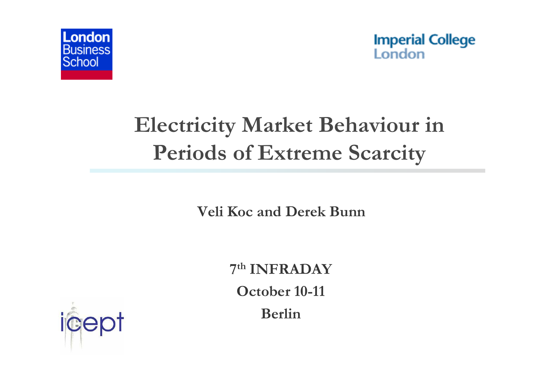



# **Electricity Market Behaviour in Periods of Extreme Scarcity**

**Veli Koc and Derek Bunn**

**7th INFRADAY October 10-11 Berlin**

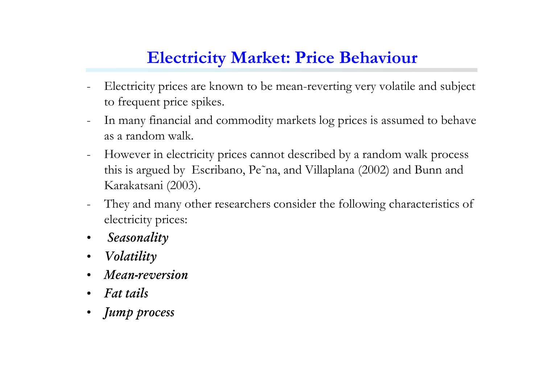#### **Electricity Market: Price Behaviour**

- Electricity prices are known to be mean-reverting very volatile and subject to frequent price spikes.
- In many financial and commodity markets log prices is assumed to behave as a random walk.
- However in electricity prices cannot described by a random walk process this is argued by Escribano, Pe˜na, and Villaplana (2002) and Bunn and Karakatsani (2003).
- They and many other researchers consider the following characteristics of electricity prices:
- $\bullet$ *Seasonality*
- $\bullet$ *Volatility*
- •*Mean-reversion*
- •*Fat tails*
- •*Jump process*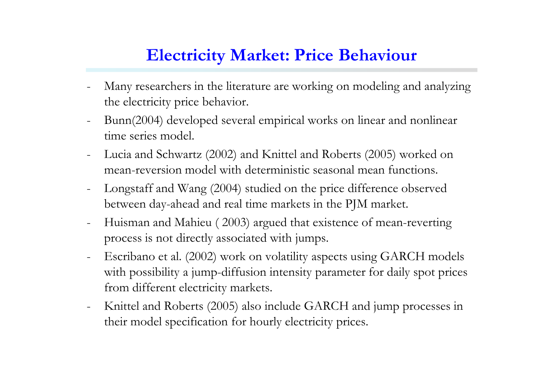#### **Electricity Market: Price Behaviour**

- Many researchers in the literature are working on modeling and analyzing the electricity price behavior.
- Bunn(2004) developed several empirical works on linear and nonlinear time series model.
- Lucia and Schwartz (2002) and Knittel and Roberts (2005) worked on mean-reversion model with deterministic seasonal mean functions.
- Longstaff and Wang (2004) studied on the price difference observed between day-ahead and real time markets in the PJM market.
- Huisman and Mahieu ( 2003) argued that existence of mean-reverting process is not directly associated with jumps.
- Escribano et al. (2002) work on volatility aspects using GARCH models with possibility a jump-diffusion intensity parameter for daily spot prices from different electricity markets.
- Knittel and Roberts (2005) also include GARCH and jump processes in their model specification for hourly electricity prices.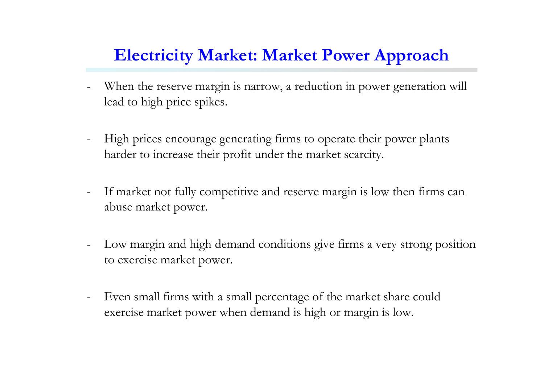#### **Electricity Market: Market Power Approach**

- When the reserve margin is narrow, a reduction in power generation will lead to high price spikes.
- High prices encourage generating firms to operate their power plants harder to increase their profit under the market scarcity.
- If market not fully competitive and reserve margin is low then firms can abuse market power.
- Low margin and high demand conditions give firms a very strong position to exercise market power.
- Even small firms with a small percentage of the market share could exercise market power when demand is high or margin is low.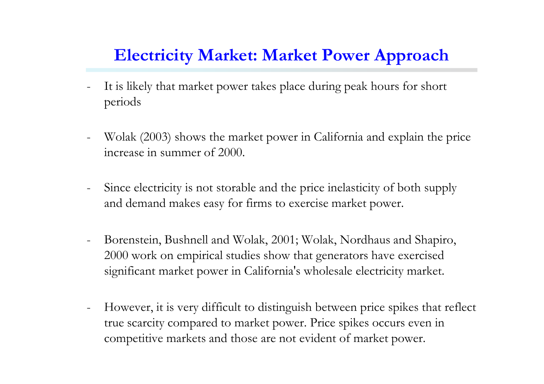#### **Electricity Market: Market Power Approach**

- It is likely that market power takes place during peak hours for short periods
- Wolak (2003) shows the market power in California and explain the price increase in summer of 2000.
- Since electricity is not storable and the price inelasticity of both supply and demand makes easy for firms to exercise market power.
- Borenstein, Bushnell and Wolak, 2001; Wolak, Nordhaus and Shapiro, 2000 work on empirical studies show that generators have exercised significant market power in California's wholesale electricity market.
- However, it is very difficult to distinguish between price spikes that reflect true scarcity compared to market power. Price spikes occurs even in competitive markets and those are not evident of market power.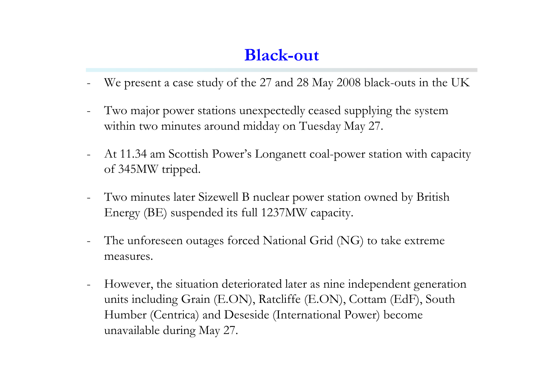- We present a case study of the 27 and 28 May 2008 black-outs in the UK
- Two major power stations unexpectedly ceased supplying the system within two minutes around midday on Tuesday May 27.
- At 11.34 am Scottish Power's Longanett coal-power station with capacity of 345MW tripped.
- Two minutes later Sizewell B nuclear power station owned by British Energy (BE) suspended its full 1237MW capacity.
- The unforeseen outages forced National Grid (NG) to take extreme measures.
- However, the situation deteriorated later as nine independent generation units including Grain (E.ON), Ratcliffe (E.ON), Cottam (EdF), South Humber (Centrica) and Deseside (International Power) become unavailable during May 27.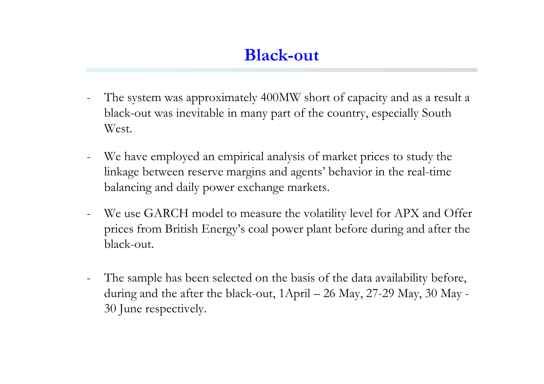- The system was approximately 400MW short of capacity and as a result a black-out was inevitable in many part of the country, especially South West.
- We have employed an empirical analysis of market prices to study the linkage between reserve margins and agents' behavior in the real-time balancing and daily power exchange markets.
- We use GARCH model to measure the volatility level for APX and Offer prices from British Energy's coal power plant before during and after the black-out.
- The sample has been selected on the basis of the data availability before, during and the after the black-out, 1April – 26 May, 27-29 May, 30 May - 30 June respectively.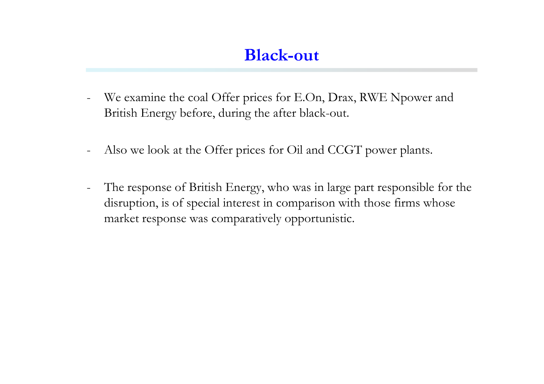- We examine the coal Offer prices for E.On, Drax, RWE Npower and British Energy before, during the after black-out.
- Also we look at the Offer prices for Oil and CCGT power plants.
- The response of British Energy, who was in large part responsible for the disruption, is of special interest in comparison with those firms whose market response was comparatively opportunistic.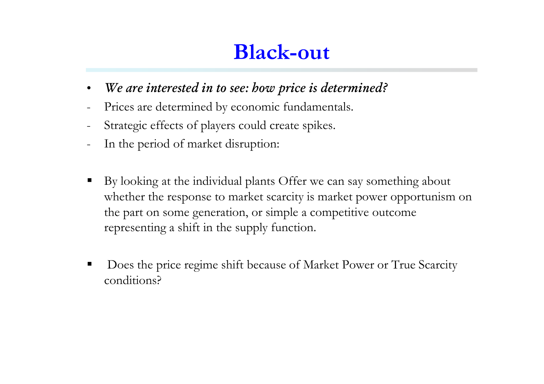- •*We are interested in to see: how price is determined?*
- Prices are determined by economic fundamentals.
- Strategic effects of players could create spikes.
- In the period of market disruption:
- By looking at the individual plants Offer we can say something about whether the response to market scarcity is market power opportunism on the part on some generation, or simple a competitive outcome representing a shift in the supply function.
- ٠ Does the price regime shift because of Market Power or True Scarcity conditions?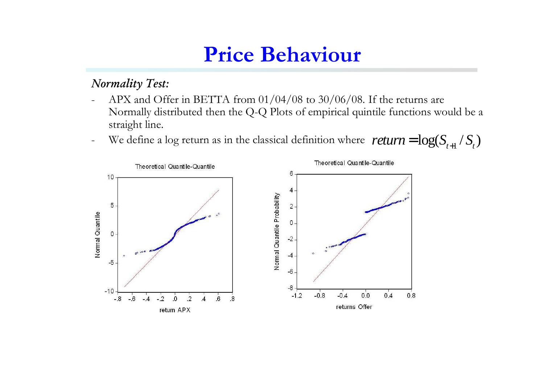#### *Normality Test:*

- $\overline{\phantom{a}}$  APX and Offer in BETTA from 01/04/08 to 30/06/08. If the returns are Normally distributed then the Q-Q Plots of empirical quintile functions would be a straight line.
- -We define a log return as in the classical definition where  $return = log(S_{t+1} / S_t)$

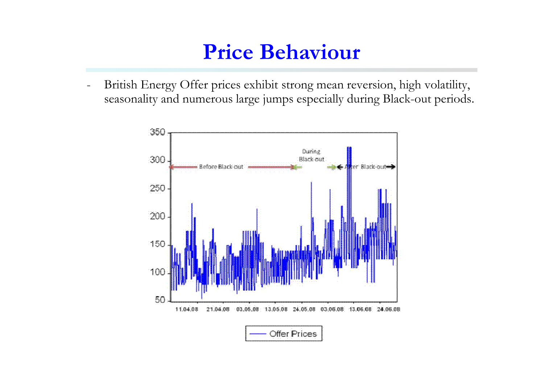- British Energy Offer prices exhibit strong mean reversion, high volatility, seasonality and numerous large jumps especially during Black-out periods.

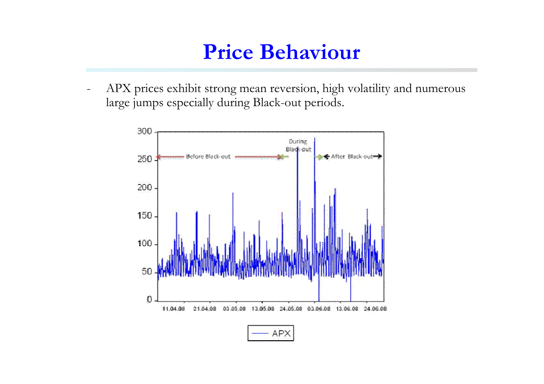$\overline{\phantom{0}}$  APX prices exhibit strong mean reversion, high volatility and numerous large jumps especially during Black-out periods.

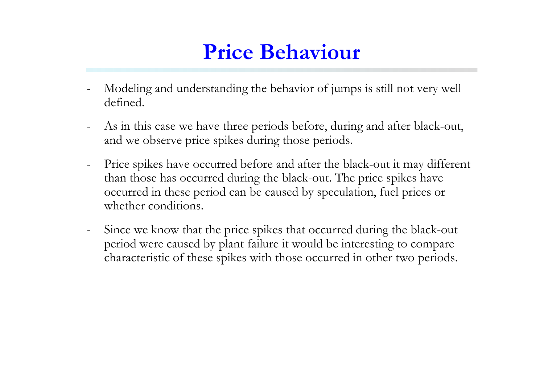- Modeling and understanding the behavior of jumps is still not very well defined.
- As in this case we have three periods before, during and after black-out, and we observe price spikes during those periods.
- Price spikes have occurred before and after the black-out it may different than those has occurred during the black-out. The price spikes have occurred in these period can be caused by speculation, fuel prices or whether conditions.
- Since we know that the price spikes that occurred during the black-out period were caused by plant failure it would be interesting to compare characteristic of these spikes with those occurred in other two periods.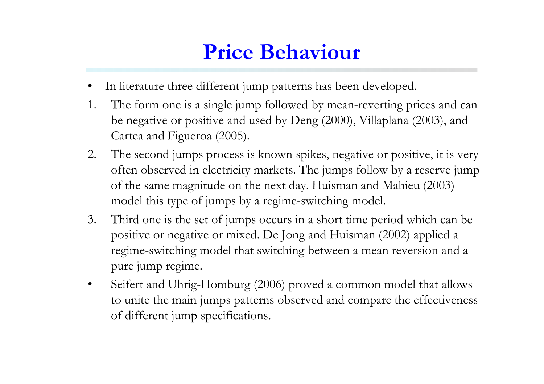- •In literature three different jump patterns has been developed.
- 1. The form one is a single jump followed by mean-reverting prices and can be negative or positive and used by Deng (2000), Villaplana (2003), and Cartea and Figueroa (2005).
- 2. The second jumps process is known spikes, negative or positive, it is very often observed in electricity markets. The jumps follow by a reserve jump of the same magnitude on the next day. Huisman and Mahieu (2003) model this type of jumps by a regime-switching model.
- 3. Third one is the set of jumps occurs in a short time period which can be positive or negative or mixed. De Jong and Huisman (2002) applied a regime-switching model that switching between a mean reversion and a pure jump regime.
- • Seifert and Uhrig-Homburg (2006) proved a common model that allows to unite the main jumps patterns observed and compare the effectiveness of different jump specifications.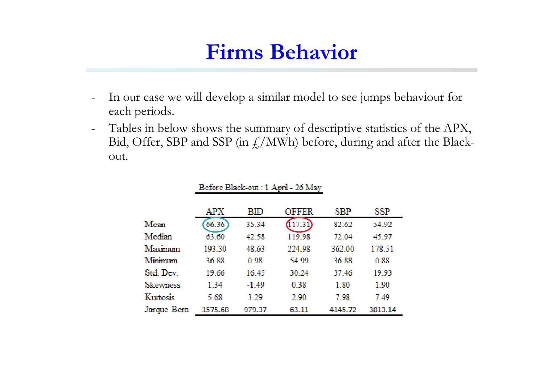- - In our case we will develop a similar model to see jumps behaviour for each periods.
- - Tables in below shows the summary of descriptive statistics of the APX, Bid, Offer, SBP and SSP (in  $f_{\rm s}/MWh$ ) before, during and after the Blackout.

|                 | APX     | BID     | <b>OFFER</b> | SBP     | SSP     |
|-----------------|---------|---------|--------------|---------|---------|
| Mean            | 66.36   | 35.34   |              | 82.62   | 54.92   |
| Median          | 63.60   | 42.58   | 119.98       | 72.04   | 45.97   |
| Maximum         | 193.30  | 48.63   | 224.98       | 362.00  | 178.51  |
| Minimum         | 36.88   | 0.98    | 54.99        | 36.88   | 0.88    |
| Std. Dev.       | 19.66   | 16.45   | 30.24        | 37.46   | 19.93   |
| <b>Skewness</b> | 134     | $-1.49$ | 0.38         | 1.80    | 1.90    |
| Kurtosis        | 5.68    | 3.29    | 2.90         | 7.98    | 7.49    |
| Jarque-Bera     | 1575.68 | 979.37  | 63.11        | 4145.72 | 3813.14 |

#### Before Black-out: 1 April - 26 May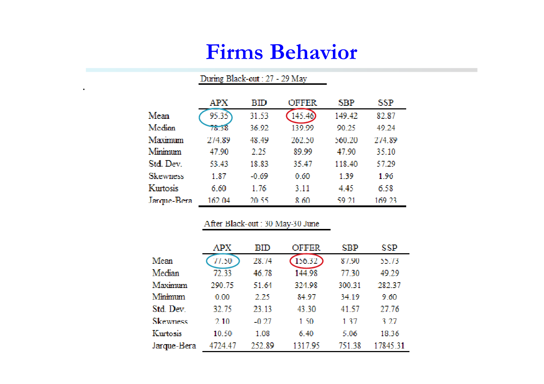#### During Black-out: 27 - 29 May

.

|                 | APX    | BID     | <b>OFFER</b> | SBP    | SSP    |
|-----------------|--------|---------|--------------|--------|--------|
| Mean            | 95.35  | 31.53   | 145.40       | 149.42 | 82.87  |
| Median          | m 18   | 36.92   | 139.99       | 90.25  | 49.24  |
| Maximum         | 274.89 | 48.49   | 262.50       | 560.20 | 274.89 |
| Minimum         | 47.90  | 2.25    | 89.99        | 47.90  | 35.10  |
| Std. Dev.       | 53.43  | 18.83   | 35.47        | 118.40 | 57.29  |
| <b>Skewness</b> | 1.87   | $-0.69$ | 0.60         | 1 39   | 1.96   |
| Kurtosis        | 6.60   | 1.76    | 3.11         | 4.45   | 6.58   |
| Jarque-Bera     | 162.04 | 20.55   | 8 60         | S9 21  | 169.23 |

#### After Black-out: 30 May-30 June

|                 | APX     | RID     | OFFER   | SBP    | SSP      |
|-----------------|---------|---------|---------|--------|----------|
| Mean            | 77.50   | 28.74   | 156.32  | 87.90  | 55.73    |
| Median          | 72.33   | 46.78   | 144.98  | 77.30  | 49.29    |
| Maximum         | 290.75  | 51.64   | 324.98  | 300.31 | 282.37   |
| Minimum         | 0.00    | 2.25    | 84.97   | 34.19  | 9.60     |
| Std. Dev.       | 32.75   | 23.13   | 43.30   | 41.57  | 27.76    |
| <b>Skewness</b> | 2,10    | $-0.27$ | 1.50    | 137    | 3.27     |
| Kurtosis        | 10.50   | 1.08    | 6.40    | 5.06   | 18.36    |
| Jarque-Bera     | 4724.47 | 252.89  | 1317 95 | 751 38 | 17845.31 |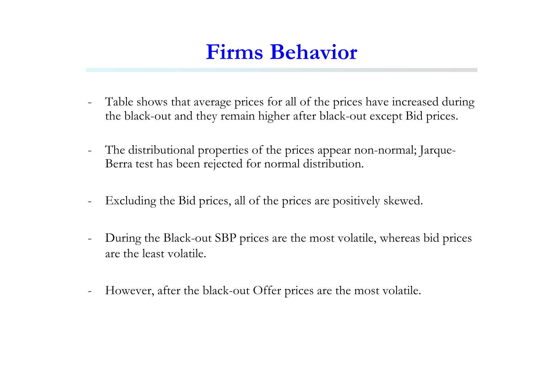- Table shows that average prices for all of the prices have increased during the black-out and they remain higher after black-out except Bid prices.
- $\overline{\phantom{a}}$  The distributional properties of the prices appear non-normal; Jarque-Berra test has been rejected for normal distribution.
- Excluding the Bid prices, all of the prices are positively skewed.
- During the Black-out SBP prices are the most volatile, whereas bid prices are the least volatile.
- $\overline{\phantom{a}}$ However, after the black-out Offer prices are the most volatile.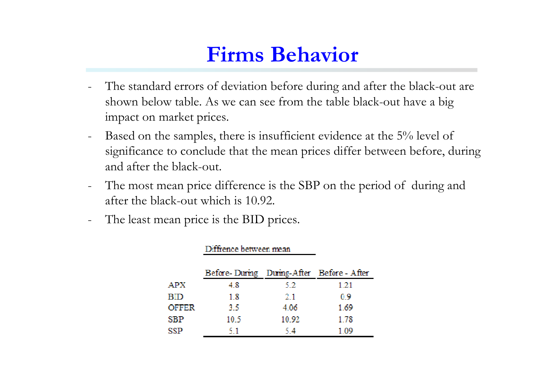- The standard errors of deviation before during and after the black-out are shown below table. As we can see from the table black-out have a big impact on market prices.
- Based on the samples, there is insufficient evidence at the 5% level of significance to conclude that the mean prices differ between before, during and after the black-out.
- The most mean price difference is the SBP on the period of during and after the black-out which is 10.92.
- The least mean price is the BID prices.

والمتراد والمستد

|                           | Luttrence between mean                    |       |      |
|---------------------------|-------------------------------------------|-------|------|
|                           | Before-During During-After Before - After |       |      |
| ${\bf A} {\bf P} {\bf X}$ | 4.8                                       | 5.2   | 1.21 |
| BID                       | 1.8                                       | 2.1   | 0.9  |
| OFFER                     | 3.5                                       | 4.06  | 1.69 |
| ${\rm SBP}$               | 10.5                                      | 10.92 | 1.78 |
| SSP                       | -51                                       | 5.4   | 1.09 |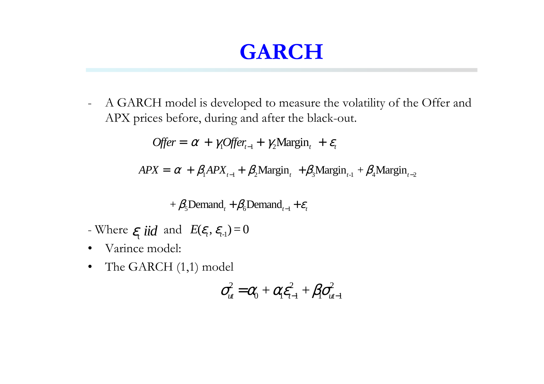- A GARCH model is developed to measure the volatility of the Offer and APX prices before, during and after the black-out.

 $\text{offer} = \alpha + \gamma_1 \text{offer}_{t-1} + \gamma_2 \text{Margin}_{t} + \varepsilon_t$ 

 $APX = \alpha + \beta_1 APX_{t-1} + \beta_2 Margin_t + \beta_3 Margin_{t-1} + \beta_4 Margin_{t-2}$ 

$$
+\beta_{5}\text{Demand}_{t}+\beta_{6}\text{Demand}_{t-1}+\varepsilon_{t}
$$

- Where  $\varepsilon$ <sub>*t*</sub> *iid* and  $E(\varepsilon$ <sub>*t*</sub>,  $\varepsilon$ <sub>*t*-1</sub> $) = 0$
- $\bullet$ Varince model:
- $\bullet$ The GARCH (1,1) model

$$
\sigma_{\mathit{ut}}^2 = \alpha_0 + \alpha_1 \varepsilon_{t-1}^2 + \beta_1 \sigma_{\mathit{ut}-1}^2
$$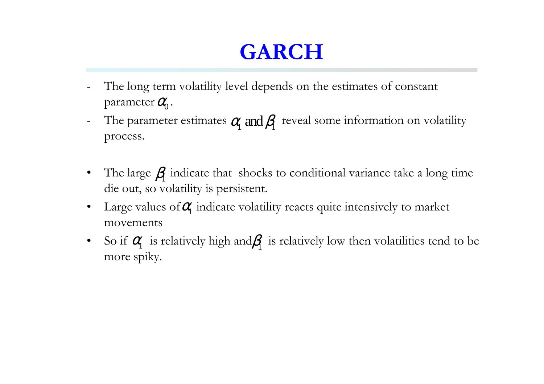- The long term volatility level depends on the estimates of constant parameter  $\mathit{O}_{\!\!\text{0}}^{\!\prime}$  .
- The parameter estimates  $\alpha$  and  $\beta$  reveal some information on volatility process.
- •The large  $\beta$  indicate that shocks to conditional variance take a long time die out, so volatility is persistent.
- •Large values of  $\alpha$  indicate volatility reacts quite intensively to market movements
- •So if  $\alpha$  is relatively high and  $\beta$  is relatively low then volatilities tend to be more spiky.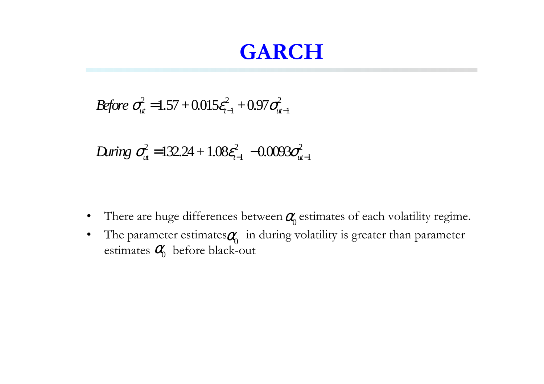Before 
$$
\sigma_{ut}^2 = 1.57 + 0.015 \varepsilon_{t-1}^2 + 0.97 \sigma_{ut-1}^2
$$

$$
Before O_{ut} = 1.57 + 0.015 \varepsilon_{t-1} + 0.97O_{ut-1}
$$
  
During  $\sigma_{ut}^2 = 132.24 + 1.08 \varepsilon_{t-1}^2 - 0.0093 \sigma_{ut-1}^2$ 

- •There are huge differences between  $\alpha_0$  estimates of each volatility regime.
- $\bullet$ The parameter estimates  $\alpha_0$  in during volatility is greater than parameter estimates  $\mathit{a}_{0}^{\prime\prime}$  before black-out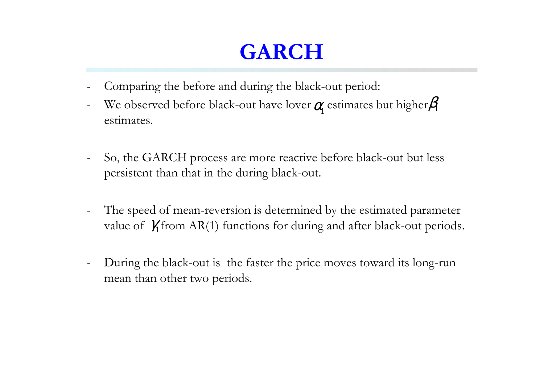- Comparing the before and during the black-out period:
- We observed before black-out have lover  $\alpha$  estimates but higher  $\beta$ estimates.
- So, the GARCH process are more reactive before black-out but less persistent than that in the during black-out.
- The speed of mean-reversion is determined by the estimated parameter value of  $\gamma_1$  from AR(1) functions for during and after black-out periods.
- During the black-out is the faster the price moves toward its long-run mean than other two periods.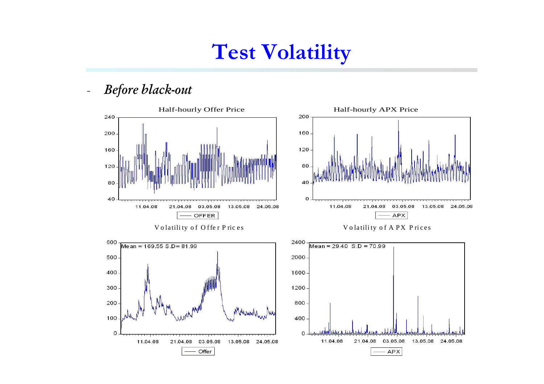## **Test Volatility**

*Before black-out*

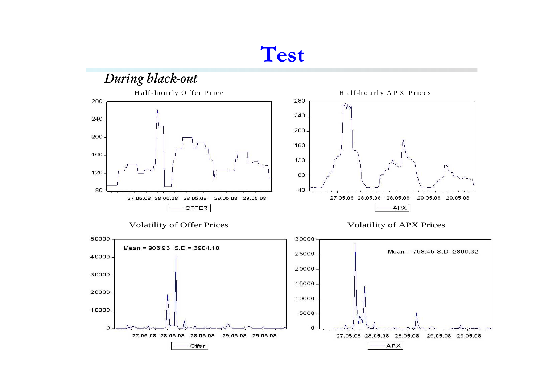#### **Test**

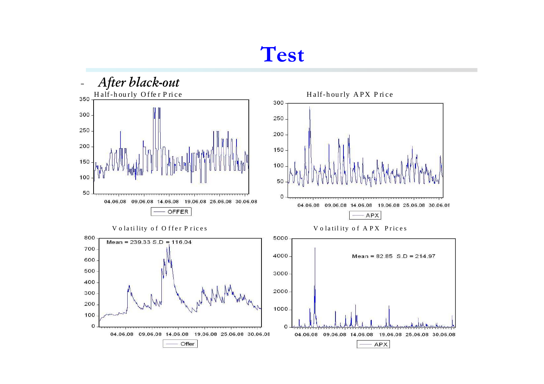#### **Test**

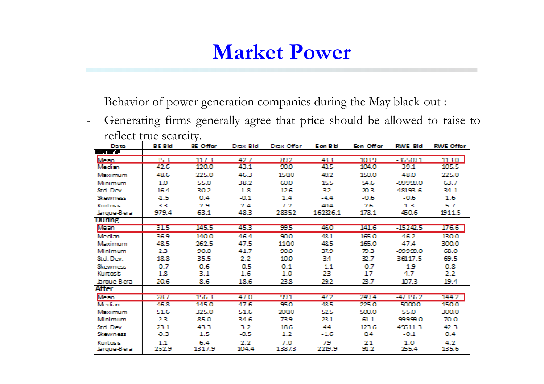- -Behavior of power generation companies during the May black-out :
- $\equiv$  Generating firms generally agree that price should be allowed to raise to reflect true scarcity.

| Da te                          | <b>BE Bid</b> | BE Offer      | Drax Bid      | Draw Offer   | <b>Eon Bid</b> | Een Offer  | <b>RME Bid</b> | <b>RME Offer</b> |
|--------------------------------|---------------|---------------|---------------|--------------|----------------|------------|----------------|------------------|
| Harre                          |               |               |               |              |                |            |                |                  |
| Mean                           | વાદ પ         | 1173          | 42.7          | 892          | 42 R           | 103.9      | -365 FB 1      | 1130.            |
| Median.                        | 42.6          | 120.0         | 43.1          | 900          | 43.5           | 104.0      | 39.1           | 105.5            |
| Maximum                        | 48.6          | 225.0         | 46.3          | 1500         | 49.2           | 150.0      | 48.0           | 225.0            |
| Minimum                        | 1.0           | 55.0          | 38.2          | coo          | 15.5           | 54.6       | -99999.0       | 63.7             |
| Std. Dev.                      | 16.4          | 30.2          | 1.8           | 12.6         | 32             | 20.3       | 48193.6        | 34.1             |
| Skewness                       | $-1.5$        | 0.4           | -0.1          | 1.4          | $-4.4$         | -0.6       | -0.6           | 1.6              |
| Kurtercio                      | 계계            | 29            | 24            | フラ           | 404            | 26.        | 13.            | 57               |
| Jarque-Bera                    | 979.4         | 63.1          | 48.3          | 28352        | 16226.1        | 178.1      | 450.6          | 1911.5           |
| <b>Dumme</b>                   |               |               |               |              |                |            |                |                  |
| Mean                           | 31.5          | 145.5         | 453           | 995          | 460            | 141.6      | $-15242.5$     | 176.6            |
| Median                         | 36.9          | 140.0         | 46.4          | 900          | 48.1           | 165.0      | 46.2           | 130.0            |
| Maximum                        | 48.5          | 262.5         | 47.5          | 1100         | 48.5           | 165.0      | 47.4           | 300.0            |
| Minimum                        | 2.3           | 90.0          | 41.7          | 900          | 37.9           | 793        | -99999.0       | 68.0             |
| Std. Dev.                      | 18.8          | 35.5          | 2.2           | 100          | 34             | 32.7       | 36117.5        | 69.5             |
| <b>Skewness</b>                | -0.7          | 0.6           | -0.5          | 0.1          | $-1.1$         | -0.7       | $-1.9$         | 0.8              |
| <b>Kurtosis</b>                | 1.8           | 3.1           | 1.6           | 1.0          | 23             | 17         | 4.7            | $2.2^{\circ}$    |
| Jaroue-Bera                    | 20.6          | 8.6           | 18.6          | 23.B         | 292            | 23.7       | 107.3          | 19.4             |
| After                          |               |               |               |              |                |            |                |                  |
| Mean                           | 28.7          | 156.3         | 47.0          | 99.1         | 412            | 249.4      | -47356.2       | 144.2            |
| Median                         | 46.8          | 145.0         | 47.6          | 950          | 48.5           | 225.0      | -50000         | 150.0            |
| Maximum                        | 51.6          | 325.0         | 51.6          | 2000         | 52.5           | 500.0      | 55.0           | 300.0            |
| Minimum                        | 2.3.          | 85.0          | 34.6          | 739          | 23.1           | 61.1       | -99999.0       | 70.0             |
| Std. Dev.                      | 23.1          | 43.3          | 3.2           | 18.6         | 44             | 123.6      | 49611.3        | 42.3             |
| Skewness                       | $-0.3$        | 1.5           | -0.5          | 1.2.         | -1.6           | 04         | $-0.1$         | 0.4              |
| <b>Kurtosis</b><br>Jarque-Bera | 1.1<br>252.9  | 6.4<br>1317.9 | 2.2.<br>104.4 | 7.0<br>13873 | 79<br>2219.9   | 21<br>91.2 | 1.0<br>255.4   | 4.2.<br>135.6    |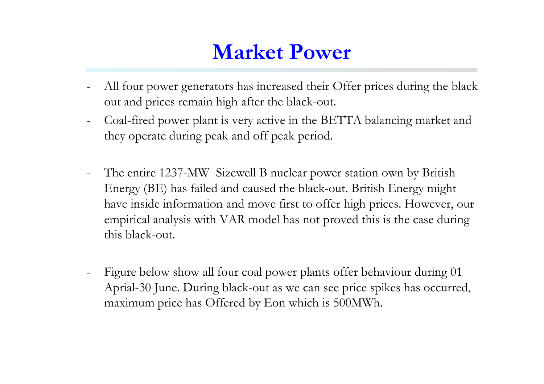- All four power generators has increased their Offer prices during the black out and prices remain high after the black-out.
- Coal-fired power plant is very active in the BETTA balancing market and they operate during peak and off peak period.
- The entire 1237-MW Sizewell B nuclear power station own by British Energy (BE) has failed and caused the black-out. British Energy might have inside information and move first to offer high prices. However, our empirical analysis with VAR model has not proved this is the case during this black-out.
- Figure below show all four coal power plants offer behaviour during 01 Aprial-30 June. During black-out as we can see price spikes has occurred, maximum price has Offered by Eon which is 500MWh.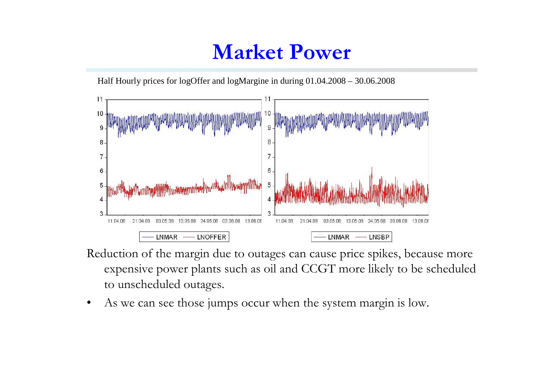Half Hourly prices for logOffer and logMargine in during 01.04.2008 – 30.06.2008



- Reduction of the margin due to outages can cause price spikes, because more expensive power plants such as oil and CCGT more likely to be scheduled to unscheduled outages.
- •As we can see those jumps occur when the system margin is low.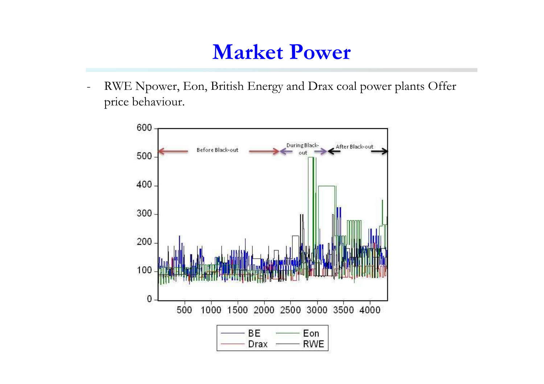- RWE Npower, Eon, British Energy and Drax coal power plants Offer price behaviour.

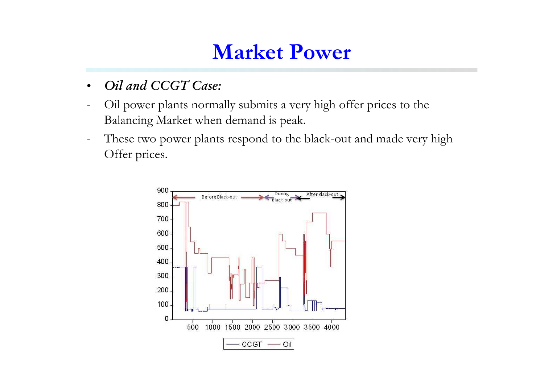- •*Oil and CCGT Case:*
- Oil power plants normally submits a very high offer prices to the Balancing Market when demand is peak.
- These two power plants respond to the black-out and made very high Offer prices.

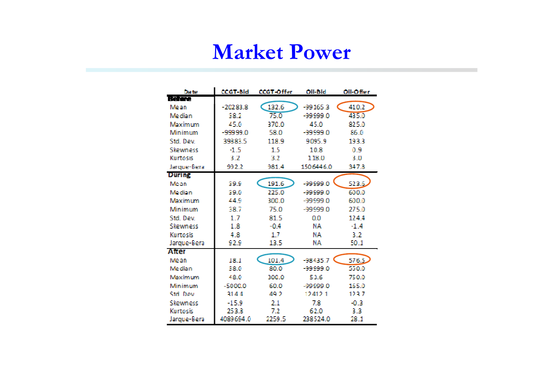| Date            | <b>CCGT-Bid</b> | <b>CCGT-Offer</b> | <b>Oil-Bid</b> | Oil-Offer |
|-----------------|-----------------|-------------------|----------------|-----------|
| Before          |                 |                   |                |           |
| Mean            | -20283.8        | 132.6             | $-99165.3$     | 410.2     |
| Median          | 382             | 75.0              | -99999.0       | 435.0     |
| Maximum         | 45.0            | 3700              | 450            | 82 S.O    |
| Minimum         | $-99999.0$      | 58.0              | $-99999.0$     | 26.0      |
| Std. Dev.       | 39383.5         | 118.9             | 9095.9         | 1933      |
| Skewness        | -1.5            | 15                | 10 R           | 0 9       |
| <b>Kurtosis</b> | 3.2             | 32                | 118.0          | 3.0       |
| Jarque-Bera     | 992.2           | 981.4             | 1506446.0      | 347.3     |
| <b>During</b>   |                 |                   |                |           |
| Mean            | 29.9            | 191.6             | $-00000.0$     | 523.6.    |
| <b>Morlian</b>  | 29.0            | ንንና ስ             | ាចលាច ក        | 600.0     |
| Maximum         | 44.9            | 300.0             | -99999.0       | 6000      |
| Minimum         | 38 7            | 75.0              | -99999.0       | 275.0     |
| Std. Dev.       | IJ              | 81 S              | 0.0            | 124.4     |
| Skewness        | 18              | -04               | NA.            | -14       |
| Kurtosis        | 4 R             | 17                | NΑ             | 32        |
| Jarque-Bera     | 92.9            | 13.5              | NA.            | 50.1      |
| Affer           |                 |                   |                |           |
| Me an           | 18 I            | 101.4             | $-98435.7$     | 576.5.    |
| Median          | 38.0            | 80 O              | -99999.0       | 550.0     |
| Maximum         | 48 O            | 300.0             | 53.6           | 7.00      |
| Minimum         | -5000.0         | 60.0              | -99999.0       | 165.0     |
| Std. Dow        | 3144            | A9 2              | 12412.1        | 123.7     |
| Skewness        | $-15.9$         | 21                | 78             | -0.3      |
| Kurtosis        | 2533            | 72                | 62.0           | 33        |
| Jarque-Bera     | 4089694.0       | 2259.5            | 238524.0       | 28.1      |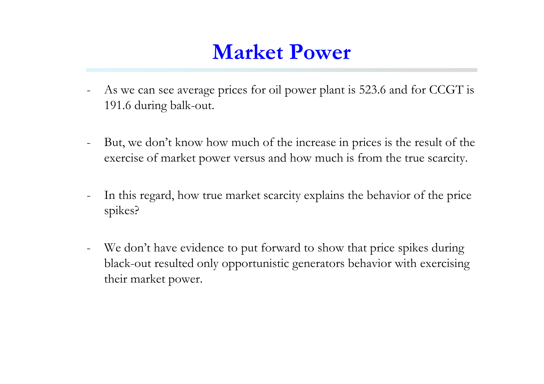- As we can see average prices for oil power plant is 523.6 and for CCGT is 191.6 during balk-out.
- But, we don't know how much of the increase in prices is the result of the exercise of market power versus and how much is from the true scarcity.
- In this regard, how true market scarcity explains the behavior of the price spikes?
- We don't have evidence to put forward to show that price spikes during black-out resulted only opportunistic generators behavior with exercising their market power.